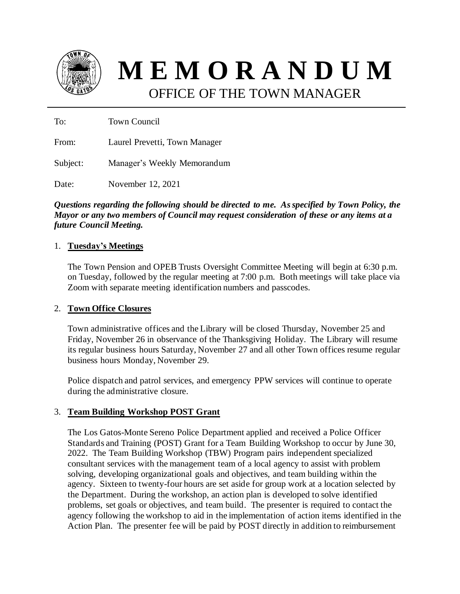

**M E M O R A N D U M** OFFICE OF THE TOWN MANAGER

To: Town Council

From: Laurel Prevetti, Town Manager

Subject: Manager's Weekly Memorandum

Date: November 12, 2021

*Questions regarding the following should be directed to me. As specified by Town Policy, the Mayor or any two members of Council may request consideration of these or any items at a future Council Meeting.*

### 1. **Tuesday's Meetings**

The Town Pension and OPEB Trusts Oversight Committee Meeting will begin at 6:30 p.m. on Tuesday, followed by the regular meeting at 7:00 p.m. Both meetings will take place via Zoom with separate meeting identification numbers and passcodes.

### 2. **Town Office Closures**

Town administrative offices and the Library will be closed Thursday, November 25 and Friday, November 26 in observance of the Thanksgiving Holiday. The Library will resume its regular business hours Saturday, November 27 and all other Town offices resume regular business hours Monday, November 29.

Police dispatch and patrol services, and emergency PPW services will continue to operate during the administrative closure.

# 3. **Team Building Workshop POST Grant**

The Los Gatos-Monte Sereno Police Department applied and received a Police Officer Standards and Training (POST) Grant for a Team Building Workshop to occur by June 30, 2022. The Team Building Workshop (TBW) Program pairs independent specialized consultant services with the management team of a local agency to assist with problem solving, developing organizational goals and objectives, and team building within the agency. Sixteen to twenty-four hours are set aside for group work at a location selected by the Department. During the workshop, an action plan is developed to solve identified problems, set goals or objectives, and team build. The presenter is required to contact the agency following the workshop to aid in the implementation of action items identified in the Action Plan. The presenter fee will be paid by POST directly in addition to reimbursement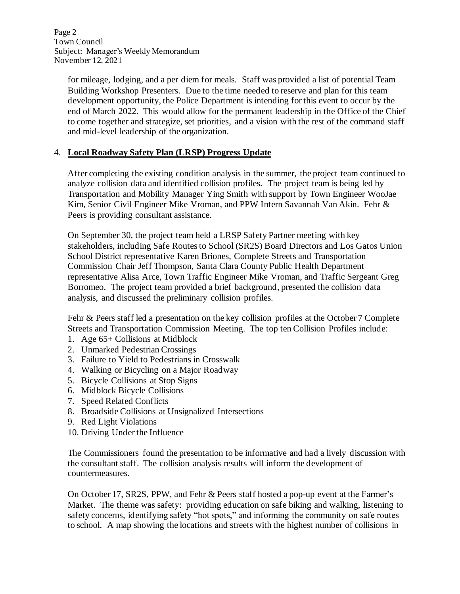Page 2 Town Council Subject: Manager's Weekly Memorandum November 12, 2021

for mileage, lodging, and a per diem for meals. Staff was provided a list of potential Team Building Workshop Presenters. Due to the time needed to reserve and plan for this team development opportunity, the Police Department is intending for this event to occur by the end of March 2022. This would allow for the permanent leadership in the Office of the Chief to come together and strategize, set priorities, and a vision with the rest of the command staff and mid-level leadership of the organization.

# 4. **Local Roadway Safety Plan (LRSP) Progress Update**

After completing the existing condition analysis in the summer, the project team continued to analyze collision data and identified collision profiles. The project team is being led by Transportation and Mobility Manager Ying Smith with support by Town Engineer WooJae Kim, Senior Civil Engineer Mike Vroman, and PPW Intern Savannah Van Akin. Fehr & Peers is providing consultant assistance.

On September 30, the project team held a LRSP Safety Partner meeting with key stakeholders, including Safe Routes to School (SR2S) Board Directors and Los Gatos Union School District representative Karen Briones, Complete Streets and Transportation Commission Chair Jeff Thompson, Santa Clara County Public Health Department representative Alisa Arce, Town Traffic Engineer Mike Vroman, and Traffic Sergeant Greg Borromeo. The project team provided a brief background, presented the collision data analysis, and discussed the preliminary collision profiles.

Fehr & Peers staff led a presentation on the key collision profiles at the October 7 Complete Streets and Transportation Commission Meeting. The top ten Collision Profiles include:

- 1. Age 65+ Collisions at Midblock
- 2. Unmarked Pedestrian Crossings
- 3. Failure to Yield to Pedestrians in Crosswalk
- 4. Walking or Bicycling on a Major Roadway
- 5. Bicycle Collisions at Stop Signs
- 6. Midblock Bicycle Collisions
- 7. Speed Related Conflicts
- 8. Broadside Collisions at Unsignalized Intersections
- 9. Red Light Violations
- 10. Driving Under the Influence

The Commissioners found the presentation to be informative and had a lively discussion with the consultant staff. The collision analysis results will inform the development of countermeasures.

On October 17, SR2S, PPW, and Fehr & Peers staff hosted a pop-up event at the Farmer's Market. The theme was safety: providing education on safe biking and walking, listening to safety concerns, identifying safety "hot spots," and informing the community on safe routes to school. A map showing the locations and streets with the highest number of collisions in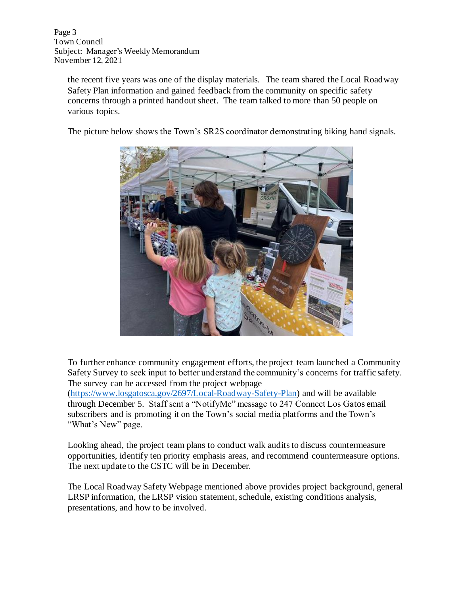Page 3 Town Council Subject: Manager's Weekly Memorandum November 12, 2021

the recent five years was one of the display materials. The team shared the Local Roadway Safety Plan information and gained feedback from the community on specific safety concerns through a printed handout sheet. The team talked to more than 50 people on various topics.

The picture below shows the Town's SR2S coordinator demonstrating biking hand signals.



To further enhance community engagement efforts, the project team launched a Community Safety Survey to seek input to better understand the community's concerns for traffic safety. The survey can be accessed from the project webpage

[\(https://www.losgatosca.gov/2697/Local-Roadway-Safety-Plan\)](https://www.losgatosca.gov/2697/Local-Roadway-Safety-Plan) and will be available through December 5. Staff sent a "NotifyMe" message to 247 Connect Los Gatos email subscribers and is promoting it on the Town's social media platforms and the Town's "What's New" page.

Looking ahead, the project team plans to conduct walk audits to discuss countermeasure opportunities, identify ten priority emphasis areas, and recommend countermeasure options. The next update to the CSTC will be in December.

The Local Roadway Safety Webpage mentioned above provides project background, general LRSP information, the LRSP vision statement, schedule, existing conditions analysis, presentations, and how to be involved.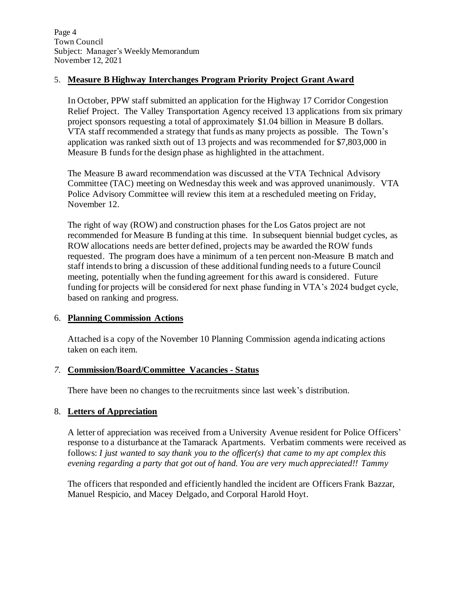Page 4 Town Council Subject: Manager's Weekly Memorandum November 12, 2021

### 5. **Measure B Highway Interchanges Program Priority Project Grant Award**

In October, PPW staff submitted an application for the Highway 17 Corridor Congestion Relief Project. The Valley Transportation Agency received 13 applications from six primary project sponsors requesting a total of approximately \$1.04 billion in Measure B dollars. VTA staff recommended a strategy that funds as many projects as possible. The Town's application was ranked sixth out of 13 projects and was recommended for \$7,803,000 in Measure B funds for the design phase as highlighted in the attachment.

The Measure B award recommendation was discussed at the VTA Technical Advisory Committee (TAC) meeting on Wednesday this week and was approved unanimously. VTA Police Advisory Committee will review this item at a rescheduled meeting on Friday, November 12.

The right of way (ROW) and construction phases for the Los Gatos project are not recommended for Measure B funding at this time. In subsequent biennial budget cycles, as ROW allocations needs are better defined, projects may be awarded the ROW funds requested. The program does have a minimum of a ten percent non-Measure B match and staff intends to bring a discussion of these additional funding needs to a future Council meeting, potentially when the funding agreement for this award is considered. Future funding for projects will be considered for next phase funding in VTA's 2024 budget cycle, based on ranking and progress.

### 6. **Planning Commission Actions**

Attached is a copy of the November 10 Planning Commission agenda indicating actions taken on each item.

### *7.* **Commission/Board/Committee Vacancies - Status**

There have been no changes to the recruitments since last week's distribution.

### 8. **Letters of Appreciation**

A letter of appreciation was received from a University Avenue resident for Police Officers' response to a disturbance at the Tamarack Apartments. Verbatim comments were received as follows: *I just wanted to say thank you to the officer(s) that came to my apt complex this evening regarding a party that got out of hand. You are very much appreciated!! Tammy*

The officers that responded and efficiently handled the incident are Officers Frank Bazzar, Manuel Respicio, and Macey Delgado, and Corporal Harold Hoyt.